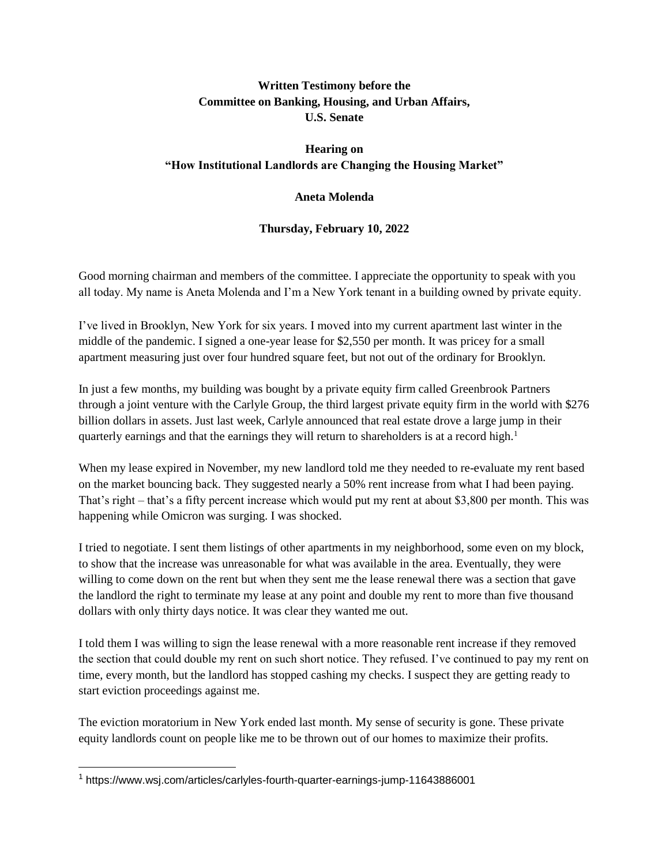## **Written Testimony before the Committee on Banking, Housing, and Urban Affairs, U.S. Senate**

## **Hearing on "How Institutional Landlords are Changing the Housing Market"**

## **Aneta Molenda**

## **Thursday, February 10, 2022**

Good morning chairman and members of the committee. I appreciate the opportunity to speak with you all today. My name is Aneta Molenda and I'm a New York tenant in a building owned by private equity.

I've lived in Brooklyn, New York for six years. I moved into my current apartment last winter in the middle of the pandemic. I signed a one-year lease for \$2,550 per month. It was pricey for a small apartment measuring just over four hundred square feet, but not out of the ordinary for Brooklyn.

In just a few months, my building was bought by a private equity firm called Greenbrook Partners through a joint venture with the Carlyle Group, the third largest private equity firm in the world with \$276 billion dollars in assets. Just last week, Carlyle announced that real estate drove a large jump in their quarterly earnings and that the earnings they will return to shareholders is at a record high.<sup>1</sup>

When my lease expired in November, my new landlord told me they needed to re-evaluate my rent based on the market bouncing back. They suggested nearly a 50% rent increase from what I had been paying. That's right – that's a fifty percent increase which would put my rent at about \$3,800 per month. This was happening while Omicron was surging. I was shocked.

I tried to negotiate. I sent them listings of other apartments in my neighborhood, some even on my block, to show that the increase was unreasonable for what was available in the area. Eventually, they were willing to come down on the rent but when they sent me the lease renewal there was a section that gave the landlord the right to terminate my lease at any point and double my rent to more than five thousand dollars with only thirty days notice. It was clear they wanted me out.

I told them I was willing to sign the lease renewal with a more reasonable rent increase if they removed the section that could double my rent on such short notice. They refused. I've continued to pay my rent on time, every month, but the landlord has stopped cashing my checks. I suspect they are getting ready to start eviction proceedings against me.

The eviction moratorium in New York ended last month. My sense of security is gone. These private equity landlords count on people like me to be thrown out of our homes to maximize their profits.

<sup>1</sup> https://www.wsj.com/articles/carlyles-fourth-quarter-earnings-jump-11643886001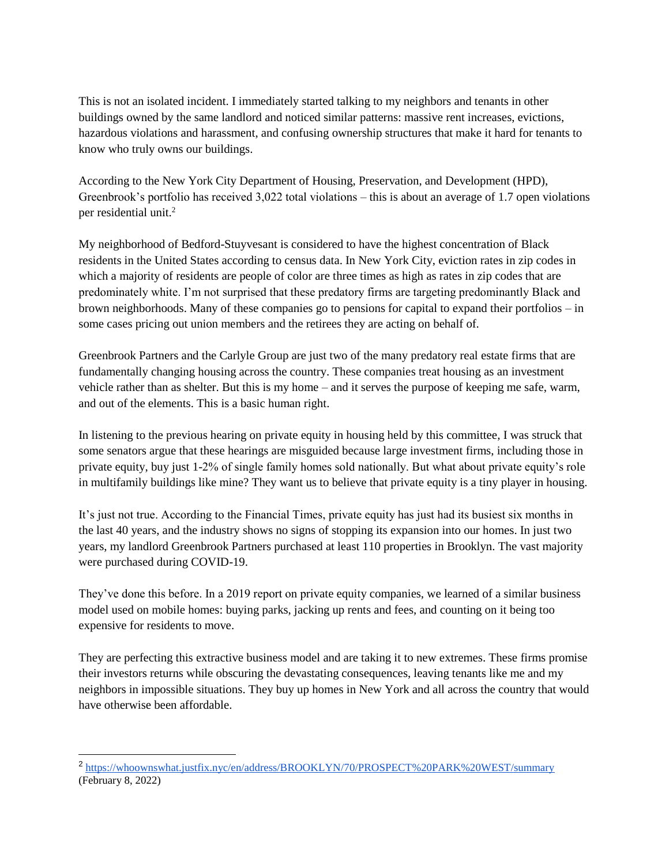This is not an isolated incident. I immediately started talking to my neighbors and tenants in other buildings owned by the same landlord and noticed similar patterns: massive rent increases, evictions, hazardous violations and harassment, and confusing ownership structures that make it hard for tenants to know who truly owns our buildings.

According to the New York City Department of Housing, Preservation, and Development (HPD), Greenbrook's portfolio has received 3,022 total violations – this is about an average of 1.7 open violations per residential unit.<sup>2</sup>

My neighborhood of Bedford-Stuyvesant is considered to have the highest concentration of Black residents in the United States according to census data. In New York City, eviction rates in zip codes in which a majority of residents are people of color are three times as high as rates in zip codes that are predominately white. I'm not surprised that these predatory firms are targeting predominantly Black and brown neighborhoods. Many of these companies go to pensions for capital to expand their portfolios – in some cases pricing out union members and the retirees they are acting on behalf of.

Greenbrook Partners and the Carlyle Group are just two of the many predatory real estate firms that are fundamentally changing housing across the country. These companies treat housing as an investment vehicle rather than as shelter. But this is my home – and it serves the purpose of keeping me safe, warm, and out of the elements. This is a basic human right.

In listening to the previous hearing on private equity in housing held by this committee, I was struck that some senators argue that these hearings are misguided because large investment firms, including those in private equity, buy just 1-2% of single family homes sold nationally. But what about private equity's role in multifamily buildings like mine? They want us to believe that private equity is a tiny player in housing.

It's just not true. According to the Financial Times, private equity has just had its busiest six months in the last 40 years, and the industry shows no signs of stopping its expansion into our homes. In just two years, my landlord Greenbrook Partners purchased at least 110 properties in Brooklyn. The vast majority were purchased during COVID-19.

They've done this before. In a 2019 report on private equity companies, we learned of a similar business model used on mobile homes: buying parks, jacking up rents and fees, and counting on it being too expensive for residents to move.

They are perfecting this extractive business model and are taking it to new extremes. These firms promise their investors returns while obscuring the devastating consequences, leaving tenants like me and my neighbors in impossible situations. They buy up homes in New York and all across the country that would have otherwise been affordable.

<sup>&</sup>lt;sup>2</sup> <https://whoownswhat.justfix.nyc/en/address/BROOKLYN/70/PROSPECT%20PARK%20WEST/summary> (February 8, 2022)